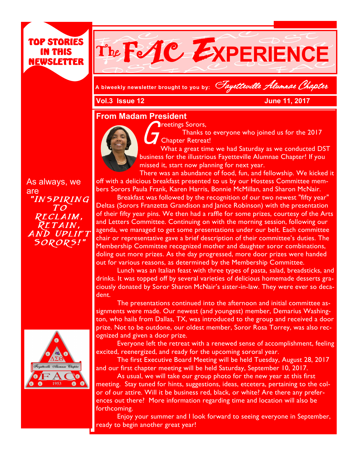## TOP STORIES IN THIS NEWSLETTER



**A biweekly newsletter brought to you by:** Fayetteville Alumnae Chapter

**Vol.3 Issue 12 June 11, 2017** 

## **From Madam President**



Thanks the Thanks the Thanks to Thanks the Thanks to the Thanks to the Thanks the Thanks to the Thanks the Thanks the Thanks the Thanks the Thanks the Thanks the Thanks the Thanks the Thanks the Thanks the Thanks the Thank Thanks to everyone who joined us for the 2017 Chapter Retreat!

What a great time we had Saturday as we conducted DST business for the illustrious Fayetteville Alumnae Chapter! If you missed it, start now planning for next year.

There was an abundance of food, fun, and fellowship. We kicked it off with a delicious breakfast presented to us by our Hostess Committee members Sorors Paula Frank, Karen Harris, Bonnie McMillan, and Sharon McNair.

Breakfast was followed by the recognition of our two newest "fifty year" Deltas (Sorors Franzetta Grandison and Janice Robinson) with the presentation of their fifty year pins. We then had a raffle for some prizes, courtesy of the Arts and Letters Committee. Continuing on with the morning session, following our agenda, we managed to get some presentations under our belt. Each committee chair or representative gave a brief description of their committee's duties. The Membership Committee recognized mother and daughter soror combinations, doling out more prizes. As the day progressed, more door prizes were handed out for various reasons, as determined by the Membership Committee.

Lunch was an Italian feast with three types of pasta, salad, breadsticks, and drinks. It was topped off by several varieties of delicious homemade desserts graciously donated by Soror Sharon McNair's sister-in-law. They were ever so decadent.

The presentations continued into the afternoon and initial committee assignments were made. Our newest (and youngest) member, Demarius Washington, who hails from Dallas, TX, was introduced to the group and received a door prize. Not to be outdone, our oldest member, Soror Rosa Torrey, was also recognized and given a door prize.

Everyone left the retreat with a renewed sense of accomplishment, feeling excited, reenergized, and ready for the upcoming sororal year.

The first Executive Board Meeting will be held Tuesday, August 28, 2017 and our first chapter meeting will be held Saturday, September 10, 2017.

As usual, we will take our group photo for the new year at this first meeting. Stay tuned for hints, suggestions, ideas, etcetera, pertaining to the color of our attire. Will it be business red, black, or white? Are there any preferences out there? More information regarding time and location will also be forthcoming.

Enjoy your summer and I look forward to seeing everyone in September, ready to begin another great year!

As always, we are "Inspiring To Reclaim, RETAIN, And Uplift Sorors!"